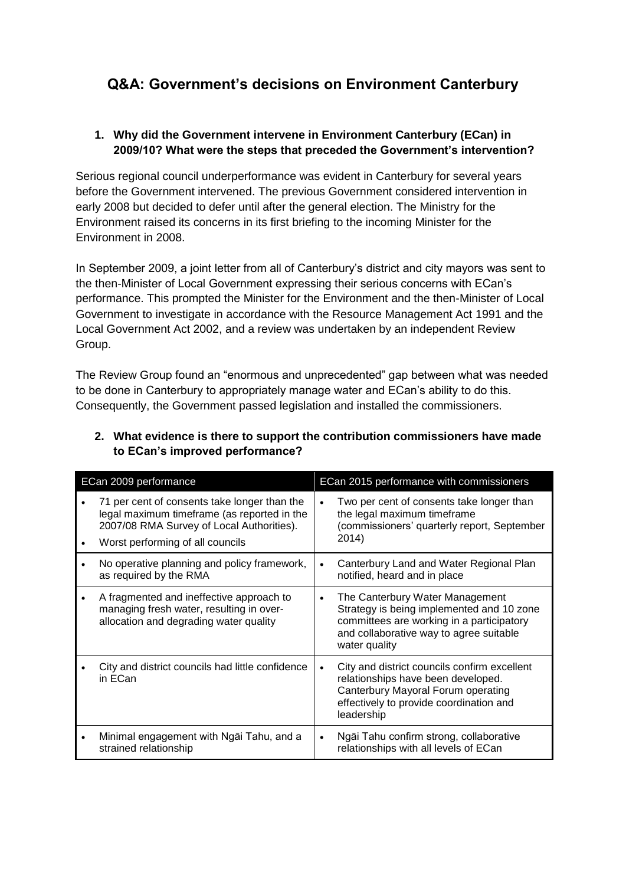# **Q&A: Government's decisions on Environment Canterbury**

### **1. Why did the Government intervene in Environment Canterbury (ECan) in 2009/10? What were the steps that preceded the Government's intervention?**

Serious regional council underperformance was evident in Canterbury for several years before the Government intervened. The previous Government considered intervention in early 2008 but decided to defer until after the general election. The Ministry for the Environment raised its concerns in its first briefing to the incoming Minister for the Environment in 2008.

In September 2009, a joint letter from all of Canterbury's district and city mayors was sent to the then-Minister of Local Government expressing their serious concerns with ECan's performance. This prompted the Minister for the Environment and the then-Minister of Local Government to investigate in accordance with the Resource Management Act 1991 and the Local Government Act 2002, and a review was undertaken by an independent Review Group.

The Review Group found an "enormous and unprecedented" gap between what was needed to be done in Canterbury to appropriately manage water and ECan's ability to do this. Consequently, the Government passed legislation and installed the commissioners.

| ECan 2009 performance |                                                                                                                                                                              | ECan 2015 performance with commissioners |                                                                                                                                                                                       |  |
|-----------------------|------------------------------------------------------------------------------------------------------------------------------------------------------------------------------|------------------------------------------|---------------------------------------------------------------------------------------------------------------------------------------------------------------------------------------|--|
|                       | 71 per cent of consents take longer than the<br>legal maximum timeframe (as reported in the<br>2007/08 RMA Survey of Local Authorities).<br>Worst performing of all councils |                                          | Two per cent of consents take longer than<br>the legal maximum timeframe<br>(commissioners' quarterly report, September<br>2014)                                                      |  |
|                       | No operative planning and policy framework,<br>as required by the RMA                                                                                                        |                                          | Canterbury Land and Water Regional Plan<br>notified, heard and in place                                                                                                               |  |
|                       | A fragmented and ineffective approach to<br>managing fresh water, resulting in over-<br>allocation and degrading water quality                                               | $\bullet$                                | The Canterbury Water Management<br>Strategy is being implemented and 10 zone<br>committees are working in a participatory<br>and collaborative way to agree suitable<br>water quality |  |
|                       | City and district councils had little confidence<br>in ECan                                                                                                                  | $\bullet$                                | City and district councils confirm excellent<br>relationships have been developed.<br>Canterbury Mayoral Forum operating<br>effectively to provide coordination and<br>leadership     |  |
| $\bullet$             | Minimal engagement with Ngai Tahu, and a<br>strained relationship                                                                                                            | $\bullet$                                | Ngāi Tahu confirm strong, collaborative<br>relationships with all levels of ECan                                                                                                      |  |

# **2. What evidence is there to support the contribution commissioners have made to ECan's improved performance?**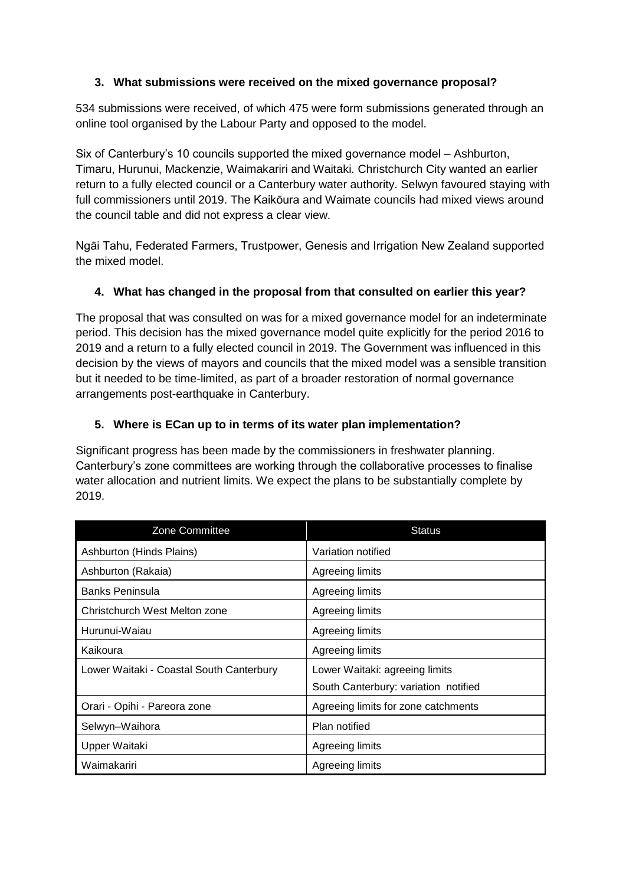## **3. What submissions were received on the mixed governance proposal?**

534 submissions were received, of which 475 were form submissions generated through an online tool organised by the Labour Party and opposed to the model.

Six of Canterbury's 10 councils supported the mixed governance model – Ashburton, Timaru, Hurunui, Mackenzie, Waimakariri and Waitaki. Christchurch City wanted an earlier return to a fully elected council or a Canterbury water authority. Selwyn favoured staying with full commissioners until 2019. The Kaikōura and Waimate councils had mixed views around the council table and did not express a clear view.

Ngāi Tahu, Federated Farmers, Trustpower, Genesis and Irrigation New Zealand supported the mixed model.

### **4. What has changed in the proposal from that consulted on earlier this year?**

The proposal that was consulted on was for a mixed governance model for an indeterminate period. This decision has the mixed governance model quite explicitly for the period 2016 to 2019 and a return to a fully elected council in 2019. The Government was influenced in this decision by the views of mayors and councils that the mixed model was a sensible transition but it needed to be time-limited, as part of a broader restoration of normal governance arrangements post-earthquake in Canterbury.

# **5. Where is ECan up to in terms of its water plan implementation?**

Significant progress has been made by the commissioners in freshwater planning. Canterbury's zone committees are working through the collaborative processes to finalise water allocation and nutrient limits. We expect the plans to be substantially complete by 2019.

| Zone Committee                           | <b>Status</b>                        |
|------------------------------------------|--------------------------------------|
| Ashburton (Hinds Plains)                 | Variation notified                   |
| Ashburton (Rakaia)                       | Agreeing limits                      |
| <b>Banks Peninsula</b>                   | Agreeing limits                      |
| Christchurch West Melton zone            | Agreeing limits                      |
| Hurunui-Waiau                            | Agreeing limits                      |
| Kaikoura                                 | Agreeing limits                      |
| Lower Waitaki - Coastal South Canterbury | Lower Waitaki: agreeing limits       |
|                                          | South Canterbury: variation notified |
| Orari - Opihi - Pareora zone             | Agreeing limits for zone catchments  |
| Selwyn-Waihora                           | Plan notified                        |
| Upper Waitaki                            | Agreeing limits                      |
| Waimakariri                              | Agreeing limits                      |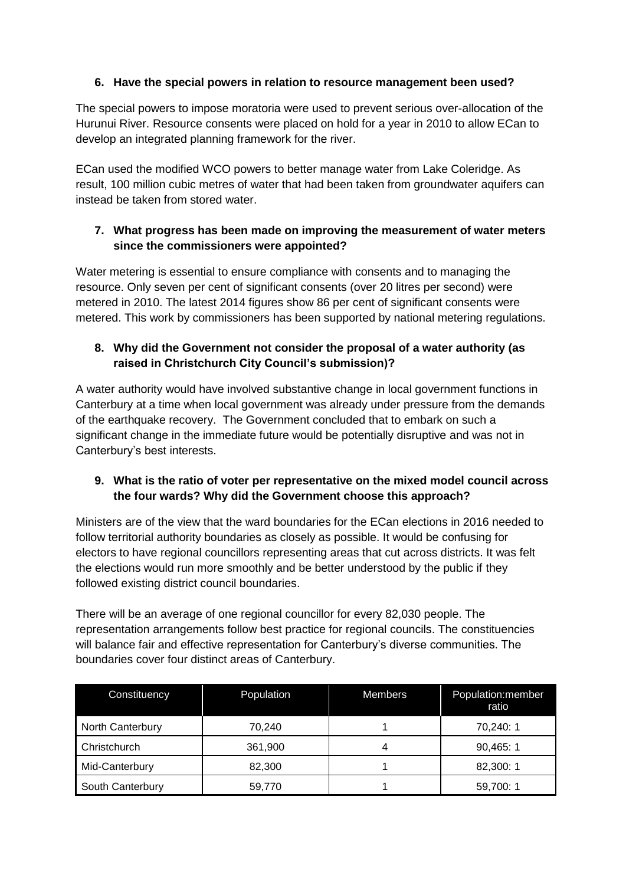# **6. Have the special powers in relation to resource management been used?**

The special powers to impose moratoria were used to prevent serious over-allocation of the Hurunui River. Resource consents were placed on hold for a year in 2010 to allow ECan to develop an integrated planning framework for the river.

ECan used the modified WCO powers to better manage water from Lake Coleridge. As result, 100 million cubic metres of water that had been taken from groundwater aquifers can instead be taken from stored water.

# **7. What progress has been made on improving the measurement of water meters since the commissioners were appointed?**

Water metering is essential to ensure compliance with consents and to managing the resource. Only seven per cent of significant consents (over 20 litres per second) were metered in 2010. The latest 2014 figures show 86 per cent of significant consents were metered. This work by commissioners has been supported by national metering regulations.

# **8. Why did the Government not consider the proposal of a water authority (as raised in Christchurch City Council's submission)?**

A water authority would have involved substantive change in local government functions in Canterbury at a time when local government was already under pressure from the demands of the earthquake recovery. The Government concluded that to embark on such a significant change in the immediate future would be potentially disruptive and was not in Canterbury's best interests.

# **9. What is the ratio of voter per representative on the mixed model council across the four wards? Why did the Government choose this approach?**

Ministers are of the view that the ward boundaries for the ECan elections in 2016 needed to follow territorial authority boundaries as closely as possible. It would be confusing for electors to have regional councillors representing areas that cut across districts. It was felt the elections would run more smoothly and be better understood by the public if they followed existing district council boundaries.

There will be an average of one regional councillor for every 82,030 people. The representation arrangements follow best practice for regional councils. The constituencies will balance fair and effective representation for Canterbury's diverse communities. The boundaries cover four distinct areas of Canterbury.

| Constituency     | Population | <b>Members</b> | Population:member<br>ratio |
|------------------|------------|----------------|----------------------------|
| North Canterbury | 70,240     |                | 70,240:1                   |
| Christchurch     | 361,900    | 4              | 90,465:1                   |
| Mid-Canterbury   | 82,300     |                | 82,300:1                   |
| South Canterbury | 59,770     |                | 59,700:1                   |